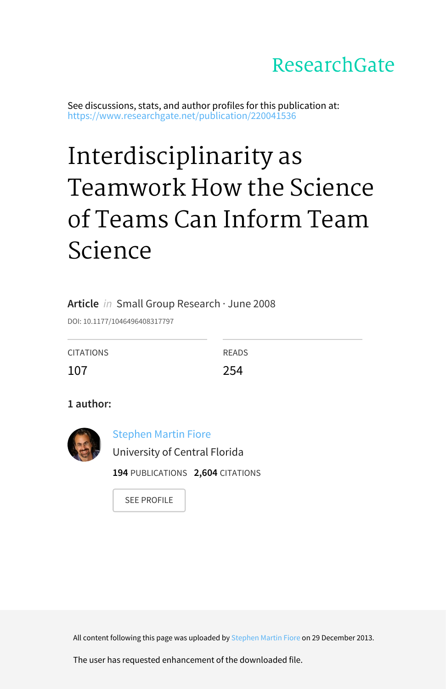## ResearchGate

See discussions, stats, and author profiles for this publication at: [https://www.researchgate.net/publication/220041536](https://www.researchgate.net/publication/220041536_Interdisciplinarity_as_Teamwork_How_the_Science_of_Teams_Can_Inform_Team_Science?enrichId=rgreq-bd1260696b05a690de8fc35d53ed47da-XXX&enrichSource=Y292ZXJQYWdlOzIyMDA0MTUzNjtBUzoxMDQyMzU5NDU0MzEwNTRAMTQwMTg2MzE5NDk1Mw%3D%3D&el=1_x_2&_esc=publicationCoverPdf)

## [Interdisciplinarity](https://www.researchgate.net/publication/220041536_Interdisciplinarity_as_Teamwork_How_the_Science_of_Teams_Can_Inform_Team_Science?enrichId=rgreq-bd1260696b05a690de8fc35d53ed47da-XXX&enrichSource=Y292ZXJQYWdlOzIyMDA0MTUzNjtBUzoxMDQyMzU5NDU0MzEwNTRAMTQwMTg2MzE5NDk1Mw%3D%3D&el=1_x_3&_esc=publicationCoverPdf) as Teamwork How the Science of Teams Can Inform Team Science

**Article** in Small Group Research · June 2008

DOI: 10.1177/1046496408317797

**CITATIONS** 

READS

107

254

**1 author:**



[Stephen](https://www.researchgate.net/profile/Stephen_Fiore?enrichId=rgreq-bd1260696b05a690de8fc35d53ed47da-XXX&enrichSource=Y292ZXJQYWdlOzIyMDA0MTUzNjtBUzoxMDQyMzU5NDU0MzEwNTRAMTQwMTg2MzE5NDk1Mw%3D%3D&el=1_x_5&_esc=publicationCoverPdf) Martin Fiore [University](https://www.researchgate.net/institution/University_of_Central_Florida?enrichId=rgreq-bd1260696b05a690de8fc35d53ed47da-XXX&enrichSource=Y292ZXJQYWdlOzIyMDA0MTUzNjtBUzoxMDQyMzU5NDU0MzEwNTRAMTQwMTg2MzE5NDk1Mw%3D%3D&el=1_x_6&_esc=publicationCoverPdf) of Central Florida

**194** PUBLICATIONS **2,604** CITATIONS

SEE [PROFILE](https://www.researchgate.net/profile/Stephen_Fiore?enrichId=rgreq-bd1260696b05a690de8fc35d53ed47da-XXX&enrichSource=Y292ZXJQYWdlOzIyMDA0MTUzNjtBUzoxMDQyMzU5NDU0MzEwNTRAMTQwMTg2MzE5NDk1Mw%3D%3D&el=1_x_7&_esc=publicationCoverPdf)

All content following this page was uploaded by [Stephen](https://www.researchgate.net/profile/Stephen_Fiore?enrichId=rgreq-bd1260696b05a690de8fc35d53ed47da-XXX&enrichSource=Y292ZXJQYWdlOzIyMDA0MTUzNjtBUzoxMDQyMzU5NDU0MzEwNTRAMTQwMTg2MzE5NDk1Mw%3D%3D&el=1_x_10&_esc=publicationCoverPdf) Martin Fiore on 29 December 2013.

The user has requested enhancement of the downloaded file.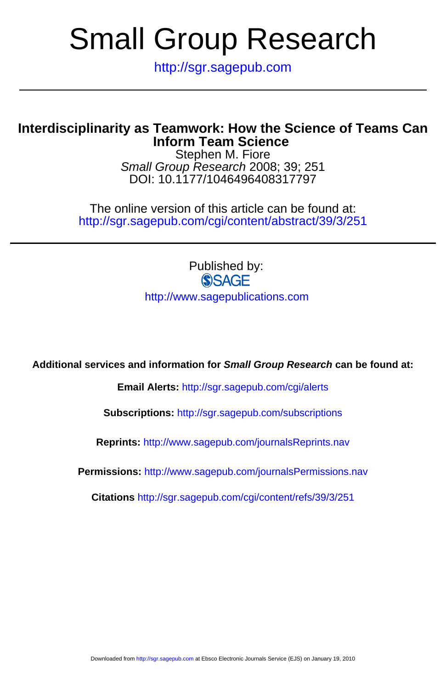# Small Group Research

http://sgr.sagepub.com

**Inform Team Science Interdisciplinarity as Teamwork: How the Science of Teams Can**

DOI: 10.1177/1046496408317797 Small Group Research 2008; 39; 251 Stephen M. Fiore

http://sgr.sagepub.com/cgi/content/abstract/39/3/251 The online version of this article can be found at:

> Published by:<br>
> SAGE http://www.sagepublications.com

**Additional services and information for Small Group Research can be found at:**

**Email Alerts:** <http://sgr.sagepub.com/cgi/alerts>

**Subscriptions:** <http://sgr.sagepub.com/subscriptions>

**Reprints:** <http://www.sagepub.com/journalsReprints.nav>

**Permissions:** <http://www.sagepub.com/journalsPermissions.nav>

**Citations** <http://sgr.sagepub.com/cgi/content/refs/39/3/251>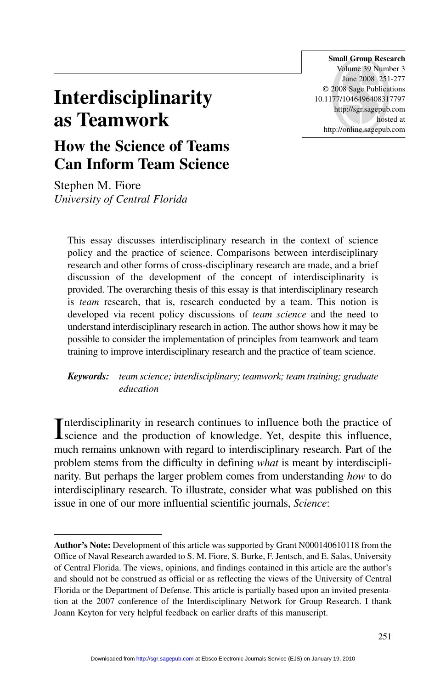**Small Group Research** Volume 39 Number 3 June 2008 251-277 © 2008 Sage Publications 10.1177/1046496408317797 http://sgr.sagepub.com hosted at http://online.sagepub.com

## **Interdisciplinarity as Teamwork**

### **How the Science of Teams Can Inform Team Science**

Stephen M. Fiore *University of Central Florida*

This essay discusses interdisciplinary research in the context of science policy and the practice of science. Comparisons between interdisciplinary research and other forms of cross-disciplinary research are made, and a brief discussion of the development of the concept of interdisciplinarity is provided. The overarching thesis of this essay is that interdisciplinary research is *team* research, that is, research conducted by a team. This notion is developed via recent policy discussions of *team science* and the need to understand interdisciplinary research in action. The author shows how it may be possible to consider the implementation of principles from teamwork and team training to improve interdisciplinary research and the practice of team science.

*Keywords: team science; interdisciplinary; teamwork; team training; graduate education*

Interdisciplinarity in research continues to influence both the practice of science and the production of knowledge. Yet, despite this influence, nterdisciplinarity in research continues to influence both the practice of much remains unknown with regard to interdisciplinary research. Part of the problem stems from the difficulty in defining *what* is meant by interdisciplinarity. But perhaps the larger problem comes from understanding *how* to do interdisciplinary research. To illustrate, consider what was published on this issue in one of our more influential scientific journals, *Science*:

251

**Author's Note:** Development of this article was supported by Grant N000140610118 from the Office of Naval Research awarded to S. M. Fiore, S. Burke, F. Jentsch, and E. Salas, University of Central Florida. The views, opinions, and findings contained in this article are the author's and should not be construed as official or as reflecting the views of the University of Central Florida or the Department of Defense. This article is partially based upon an invited presentation at the 2007 conference of the Interdisciplinary Network for Group Research. I thank Joann Keyton for very helpful feedback on earlier drafts of this manuscript.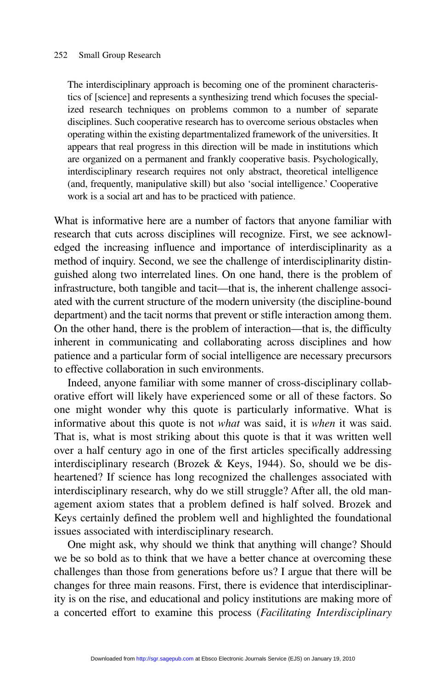#### 252 Small Group Research

The interdisciplinary approach is becoming one of the prominent characteristics of [science] and represents a synthesizing trend which focuses the specialized research techniques on problems common to a number of separate disciplines. Such cooperative research has to overcome serious obstacles when operating within the existing departmentalized framework of the universities. It appears that real progress in this direction will be made in institutions which are organized on a permanent and frankly cooperative basis. Psychologically, interdisciplinary research requires not only abstract, theoretical intelligence (and, frequently, manipulative skill) but also 'social intelligence.' Cooperative work is a social art and has to be practiced with patience.

What is informative here are a number of factors that anyone familiar with research that cuts across disciplines will recognize. First, we see acknowledged the increasing influence and importance of interdisciplinarity as a method of inquiry. Second, we see the challenge of interdisciplinarity distinguished along two interrelated lines. On one hand, there is the problem of infrastructure, both tangible and tacit—that is, the inherent challenge associated with the current structure of the modern university (the discipline-bound department) and the tacit norms that prevent or stifle interaction among them. On the other hand, there is the problem of interaction—that is, the difficulty inherent in communicating and collaborating across disciplines and how patience and a particular form of social intelligence are necessary precursors to effective collaboration in such environments.

Indeed, anyone familiar with some manner of cross-disciplinary collaborative effort will likely have experienced some or all of these factors. So one might wonder why this quote is particularly informative. What is informative about this quote is not *what* was said, it is *when* it was said. That is, what is most striking about this quote is that it was written well over a half century ago in one of the first articles specifically addressing interdisciplinary research (Brozek & Keys, 1944). So, should we be disheartened? If science has long recognized the challenges associated with interdisciplinary research, why do we still struggle? After all, the old management axiom states that a problem defined is half solved. Brozek and Keys certainly defined the problem well and highlighted the foundational issues associated with interdisciplinary research.

One might ask, why should we think that anything will change? Should we be so bold as to think that we have a better chance at overcoming these challenges than those from generations before us? I argue that there will be changes for three main reasons. First, there is evidence that interdisciplinarity is on the rise, and educational and policy institutions are making more of a concerted effort to examine this process (*Facilitating Interdisciplinary*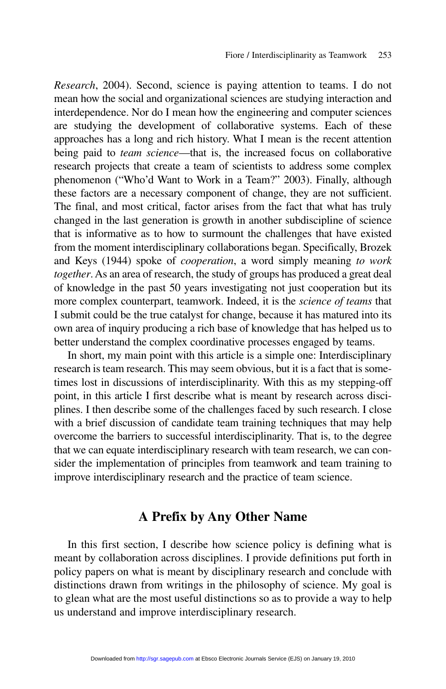*Research*, 2004). Second, science is paying attention to teams. I do not mean how the social and organizational sciences are studying interaction and interdependence. Nor do I mean how the engineering and computer sciences are studying the development of collaborative systems. Each of these approaches has a long and rich history. What I mean is the recent attention being paid to *team science*—that is, the increased focus on collaborative research projects that create a team of scientists to address some complex phenomenon ("Who'd Want to Work in a Team?" 2003). Finally, although these factors are a necessary component of change, they are not sufficient. The final, and most critical, factor arises from the fact that what has truly changed in the last generation is growth in another subdiscipline of science that is informative as to how to surmount the challenges that have existed from the moment interdisciplinary collaborations began. Specifically, Brozek and Keys (1944) spoke of *cooperation*, a word simply meaning *to work together*. As an area of research, the study of groups has produced a great deal of knowledge in the past 50 years investigating not just cooperation but its more complex counterpart, teamwork. Indeed, it is the *science of teams* that I submit could be the true catalyst for change, because it has matured into its own area of inquiry producing a rich base of knowledge that has helped us to better understand the complex coordinative processes engaged by teams.

In short, my main point with this article is a simple one: Interdisciplinary research is team research. This may seem obvious, but it is a fact that is sometimes lost in discussions of interdisciplinarity. With this as my stepping-off point, in this article I first describe what is meant by research across disciplines. I then describe some of the challenges faced by such research. I close with a brief discussion of candidate team training techniques that may help overcome the barriers to successful interdisciplinarity. That is, to the degree that we can equate interdisciplinary research with team research, we can consider the implementation of principles from teamwork and team training to improve interdisciplinary research and the practice of team science.

#### **A Prefix by Any Other Name**

In this first section, I describe how science policy is defining what is meant by collaboration across disciplines. I provide definitions put forth in policy papers on what is meant by disciplinary research and conclude with distinctions drawn from writings in the philosophy of science. My goal is to glean what are the most useful distinctions so as to provide a way to help us understand and improve interdisciplinary research.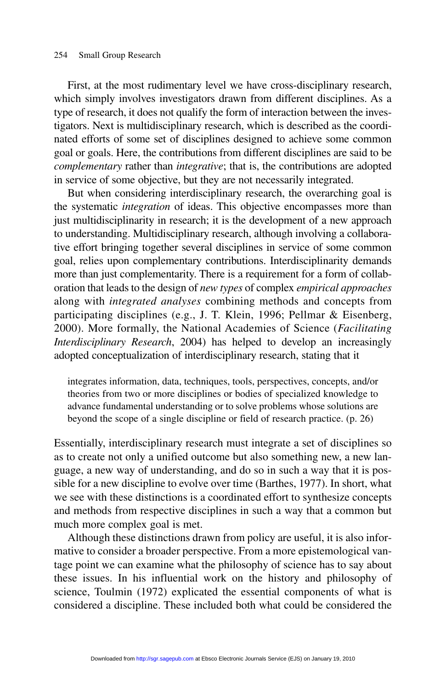First, at the most rudimentary level we have cross-disciplinary research, which simply involves investigators drawn from different disciplines. As a type of research, it does not qualify the form of interaction between the investigators. Next is multidisciplinary research, which is described as the coordinated efforts of some set of disciplines designed to achieve some common goal or goals. Here, the contributions from different disciplines are said to be *complementary* rather than *integrative*; that is, the contributions are adopted in service of some objective, but they are not necessarily integrated.

But when considering interdisciplinary research, the overarching goal is the systematic *integration* of ideas. This objective encompasses more than just multidisciplinarity in research; it is the development of a new approach to understanding. Multidisciplinary research, although involving a collaborative effort bringing together several disciplines in service of some common goal, relies upon complementary contributions. Interdisciplinarity demands more than just complementarity. There is a requirement for a form of collaboration that leads to the design of *new types* of complex *empirical approaches* along with *integrated analyses* combining methods and concepts from participating disciplines (e.g., J. T. Klein, 1996; Pellmar & Eisenberg, 2000). More formally, the National Academies of Science (*Facilitating Interdisciplinary Research*, 2004) has helped to develop an increasingly adopted conceptualization of interdisciplinary research, stating that it

integrates information, data, techniques, tools, perspectives, concepts, and/or theories from two or more disciplines or bodies of specialized knowledge to advance fundamental understanding or to solve problems whose solutions are beyond the scope of a single discipline or field of research practice. (p. 26)

Essentially, interdisciplinary research must integrate a set of disciplines so as to create not only a unified outcome but also something new, a new language, a new way of understanding, and do so in such a way that it is possible for a new discipline to evolve over time (Barthes, 1977). In short, what we see with these distinctions is a coordinated effort to synthesize concepts and methods from respective disciplines in such a way that a common but much more complex goal is met.

Although these distinctions drawn from policy are useful, it is also informative to consider a broader perspective. From a more epistemological vantage point we can examine what the philosophy of science has to say about these issues. In his influential work on the history and philosophy of science, Toulmin (1972) explicated the essential components of what is considered a discipline. These included both what could be considered the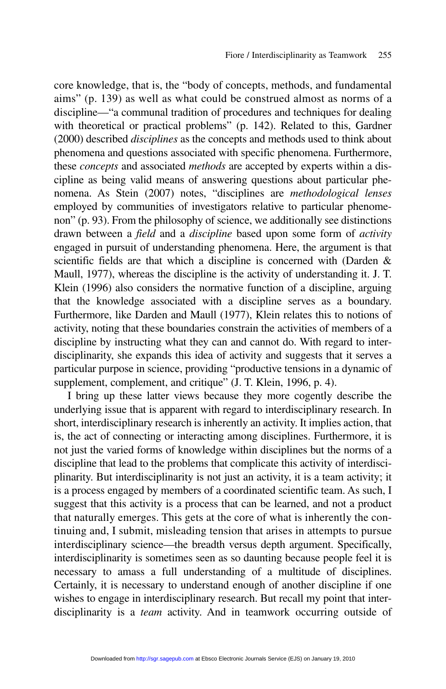core knowledge, that is, the "body of concepts, methods, and fundamental aims" (p. 139) as well as what could be construed almost as norms of a discipline—"a communal tradition of procedures and techniques for dealing with theoretical or practical problems" (p. 142). Related to this, Gardner (2000) described *disciplines* as the concepts and methods used to think about phenomena and questions associated with specific phenomena. Furthermore, these *concepts* and associated *methods* are accepted by experts within a discipline as being valid means of answering questions about particular phenomena. As Stein (2007) notes, "disciplines are *methodological lenses* employed by communities of investigators relative to particular phenomenon" (p. 93). From the philosophy of science, we additionally see distinctions drawn between a *field* and a *discipline* based upon some form of *activity* engaged in pursuit of understanding phenomena. Here, the argument is that scientific fields are that which a discipline is concerned with (Darden & Maull, 1977), whereas the discipline is the activity of understanding it. J. T. Klein (1996) also considers the normative function of a discipline, arguing that the knowledge associated with a discipline serves as a boundary. Furthermore, like Darden and Maull (1977), Klein relates this to notions of activity, noting that these boundaries constrain the activities of members of a discipline by instructing what they can and cannot do. With regard to interdisciplinarity, she expands this idea of activity and suggests that it serves a particular purpose in science, providing "productive tensions in a dynamic of supplement, complement, and critique" (J. T. Klein, 1996, p. 4).

I bring up these latter views because they more cogently describe the underlying issue that is apparent with regard to interdisciplinary research. In short, interdisciplinary research is inherently an activity. It implies action, that is, the act of connecting or interacting among disciplines. Furthermore, it is not just the varied forms of knowledge within disciplines but the norms of a discipline that lead to the problems that complicate this activity of interdisciplinarity. But interdisciplinarity is not just an activity, it is a team activity; it is a process engaged by members of a coordinated scientific team. As such, I suggest that this activity is a process that can be learned, and not a product that naturally emerges. This gets at the core of what is inherently the continuing and, I submit, misleading tension that arises in attempts to pursue interdisciplinary science—the breadth versus depth argument. Specifically, interdisciplinarity is sometimes seen as so daunting because people feel it is necessary to amass a full understanding of a multitude of disciplines. Certainly, it is necessary to understand enough of another discipline if one wishes to engage in interdisciplinary research. But recall my point that interdisciplinarity is a *team* activity. And in teamwork occurring outside of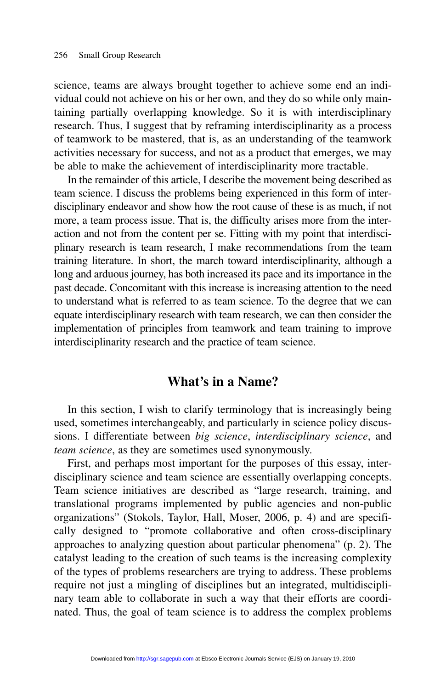science, teams are always brought together to achieve some end an individual could not achieve on his or her own, and they do so while only maintaining partially overlapping knowledge. So it is with interdisciplinary research. Thus, I suggest that by reframing interdisciplinarity as a process of teamwork to be mastered, that is, as an understanding of the teamwork activities necessary for success, and not as a product that emerges, we may be able to make the achievement of interdisciplinarity more tractable.

In the remainder of this article, I describe the movement being described as team science. I discuss the problems being experienced in this form of interdisciplinary endeavor and show how the root cause of these is as much, if not more, a team process issue. That is, the difficulty arises more from the interaction and not from the content per se. Fitting with my point that interdisciplinary research is team research, I make recommendations from the team training literature. In short, the march toward interdisciplinarity, although a long and arduous journey, has both increased its pace and its importance in the past decade. Concomitant with this increase is increasing attention to the need to understand what is referred to as team science. To the degree that we can equate interdisciplinary research with team research, we can then consider the implementation of principles from teamwork and team training to improve interdisciplinarity research and the practice of team science.

#### **What's in a Name?**

In this section, I wish to clarify terminology that is increasingly being used, sometimes interchangeably, and particularly in science policy discussions. I differentiate between *big science*, *interdisciplinary science*, and *team science*, as they are sometimes used synonymously.

First, and perhaps most important for the purposes of this essay, interdisciplinary science and team science are essentially overlapping concepts. Team science initiatives are described as "large research, training, and translational programs implemented by public agencies and non-public organizations" (Stokols, Taylor, Hall, Moser, 2006, p. 4) and are specifically designed to "promote collaborative and often cross-disciplinary approaches to analyzing question about particular phenomena" (p. 2). The catalyst leading to the creation of such teams is the increasing complexity of the types of problems researchers are trying to address. These problems require not just a mingling of disciplines but an integrated, multidisciplinary team able to collaborate in such a way that their efforts are coordinated. Thus, the goal of team science is to address the complex problems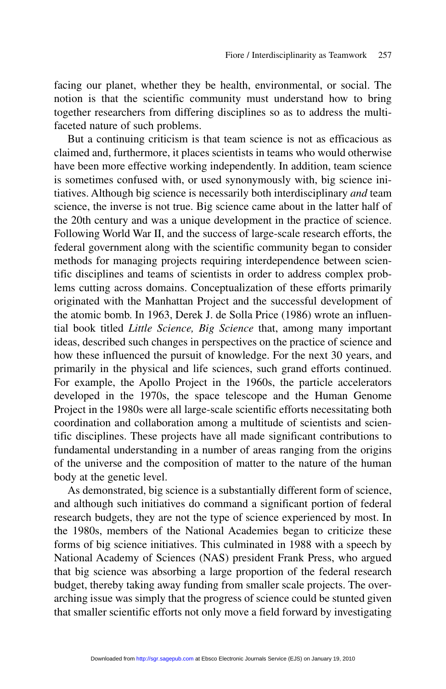facing our planet, whether they be health, environmental, or social. The notion is that the scientific community must understand how to bring together researchers from differing disciplines so as to address the multifaceted nature of such problems.

But a continuing criticism is that team science is not as efficacious as claimed and, furthermore, it places scientists in teams who would otherwise have been more effective working independently. In addition, team science is sometimes confused with, or used synonymously with, big science initiatives. Although big science is necessarily both interdisciplinary *and* team science, the inverse is not true. Big science came about in the latter half of the 20th century and was a unique development in the practice of science. Following World War II, and the success of large-scale research efforts, the federal government along with the scientific community began to consider methods for managing projects requiring interdependence between scientific disciplines and teams of scientists in order to address complex problems cutting across domains. Conceptualization of these efforts primarily originated with the Manhattan Project and the successful development of the atomic bomb. In 1963, Derek J. de Solla Price (1986) wrote an influential book titled *Little Science, Big Science* that, among many important ideas, described such changes in perspectives on the practice of science and how these influenced the pursuit of knowledge. For the next 30 years, and primarily in the physical and life sciences, such grand efforts continued. For example, the Apollo Project in the 1960s, the particle accelerators developed in the 1970s, the space telescope and the Human Genome Project in the 1980s were all large-scale scientific efforts necessitating both coordination and collaboration among a multitude of scientists and scientific disciplines. These projects have all made significant contributions to fundamental understanding in a number of areas ranging from the origins of the universe and the composition of matter to the nature of the human body at the genetic level.

As demonstrated, big science is a substantially different form of science, and although such initiatives do command a significant portion of federal research budgets, they are not the type of science experienced by most. In the 1980s, members of the National Academies began to criticize these forms of big science initiatives. This culminated in 1988 with a speech by National Academy of Sciences (NAS) president Frank Press, who argued that big science was absorbing a large proportion of the federal research budget, thereby taking away funding from smaller scale projects. The overarching issue was simply that the progress of science could be stunted given that smaller scientific efforts not only move a field forward by investigating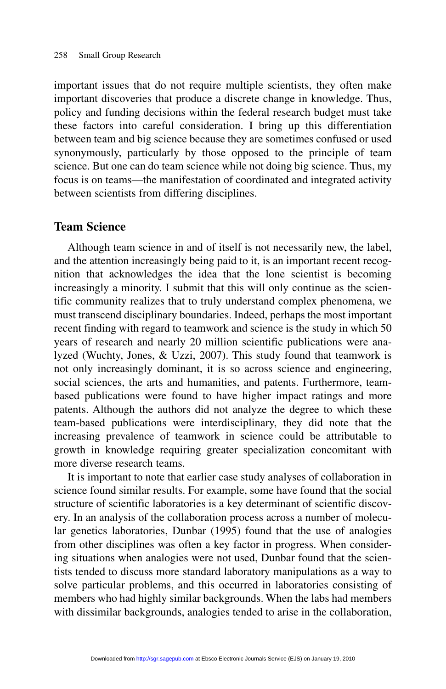important issues that do not require multiple scientists, they often make important discoveries that produce a discrete change in knowledge. Thus, policy and funding decisions within the federal research budget must take these factors into careful consideration. I bring up this differentiation between team and big science because they are sometimes confused or used synonymously, particularly by those opposed to the principle of team science. But one can do team science while not doing big science. Thus, my focus is on teams—the manifestation of coordinated and integrated activity between scientists from differing disciplines.

#### **Team Science**

Although team science in and of itself is not necessarily new, the label, and the attention increasingly being paid to it, is an important recent recognition that acknowledges the idea that the lone scientist is becoming increasingly a minority. I submit that this will only continue as the scientific community realizes that to truly understand complex phenomena, we must transcend disciplinary boundaries. Indeed, perhaps the most important recent finding with regard to teamwork and science is the study in which 50 years of research and nearly 20 million scientific publications were analyzed (Wuchty, Jones, & Uzzi, 2007). This study found that teamwork is not only increasingly dominant, it is so across science and engineering, social sciences, the arts and humanities, and patents. Furthermore, teambased publications were found to have higher impact ratings and more patents. Although the authors did not analyze the degree to which these team-based publications were interdisciplinary, they did note that the increasing prevalence of teamwork in science could be attributable to growth in knowledge requiring greater specialization concomitant with more diverse research teams.

It is important to note that earlier case study analyses of collaboration in science found similar results. For example, some have found that the social structure of scientific laboratories is a key determinant of scientific discovery. In an analysis of the collaboration process across a number of molecular genetics laboratories, Dunbar (1995) found that the use of analogies from other disciplines was often a key factor in progress. When considering situations when analogies were not used, Dunbar found that the scientists tended to discuss more standard laboratory manipulations as a way to solve particular problems, and this occurred in laboratories consisting of members who had highly similar backgrounds. When the labs had members with dissimilar backgrounds, analogies tended to arise in the collaboration,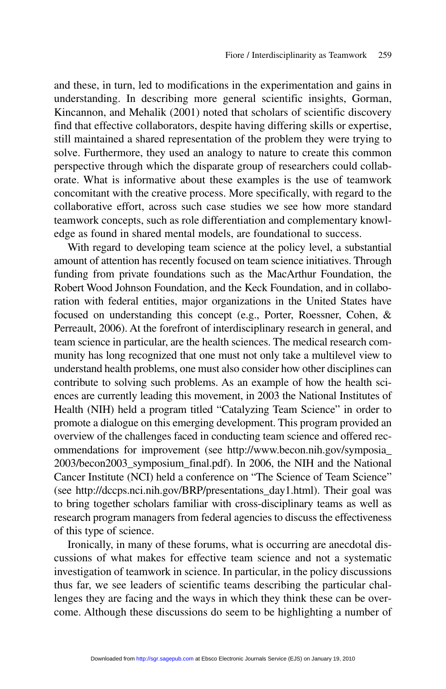and these, in turn, led to modifications in the experimentation and gains in understanding. In describing more general scientific insights, Gorman, Kincannon, and Mehalik (2001) noted that scholars of scientific discovery find that effective collaborators, despite having differing skills or expertise, still maintained a shared representation of the problem they were trying to solve. Furthermore, they used an analogy to nature to create this common perspective through which the disparate group of researchers could collaborate. What is informative about these examples is the use of teamwork concomitant with the creative process. More specifically, with regard to the collaborative effort, across such case studies we see how more standard teamwork concepts, such as role differentiation and complementary knowledge as found in shared mental models, are foundational to success.

With regard to developing team science at the policy level, a substantial amount of attention has recently focused on team science initiatives. Through funding from private foundations such as the MacArthur Foundation, the Robert Wood Johnson Foundation, and the Keck Foundation, and in collaboration with federal entities, major organizations in the United States have focused on understanding this concept (e.g., Porter, Roessner, Cohen, & Perreault, 2006). At the forefront of interdisciplinary research in general, and team science in particular, are the health sciences. The medical research community has long recognized that one must not only take a multilevel view to understand health problems, one must also consider how other disciplines can contribute to solving such problems. As an example of how the health sciences are currently leading this movement, in 2003 the National Institutes of Health (NIH) held a program titled "Catalyzing Team Science" in order to promote a dialogue on this emerging development. This program provided an overview of the challenges faced in conducting team science and offered recommendations for improvement (see http://www.becon.nih.gov/symposia\_ 2003/becon2003\_symposium\_final.pdf). In 2006, the NIH and the National Cancer Institute (NCI) held a conference on "The Science of Team Science" (see http://dccps.nci.nih.gov/BRP/presentations\_day1.html). Their goal was to bring together scholars familiar with cross-disciplinary teams as well as research program managers from federal agencies to discuss the effectiveness of this type of science.

Ironically, in many of these forums, what is occurring are anecdotal discussions of what makes for effective team science and not a systematic investigation of teamwork in science. In particular, in the policy discussions thus far, we see leaders of scientific teams describing the particular challenges they are facing and the ways in which they think these can be overcome. Although these discussions do seem to be highlighting a number of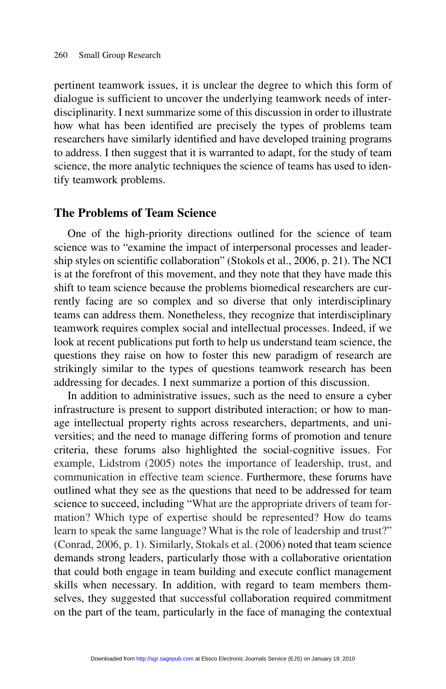pertinent teamwork issues, it is unclear the degree to which this form of dialogue is sufficient to uncover the underlying teamwork needs of interdisciplinarity. I next summarize some of this discussion in order to illustrate how what has been identified are precisely the types of problems team researchers have similarly identified and have developed training programs to address. I then suggest that it is warranted to adapt, for the study of team science, the more analytic techniques the science of teams has used to identify teamwork problems.

#### **The Problems of Team Science**

One of the high-priority directions outlined for the science of team science was to "examine the impact of interpersonal processes and leadership styles on scientific collaboration" (Stokols et al., 2006, p. 21). The NCI is at the forefront of this movement, and they note that they have made this shift to team science because the problems biomedical researchers are currently facing are so complex and so diverse that only interdisciplinary teams can address them. Nonetheless, they recognize that interdisciplinary teamwork requires complex social and intellectual processes. Indeed, if we look at recent publications put forth to help us understand team science, the questions they raise on how to foster this new paradigm of research are strikingly similar to the types of questions teamwork research has been addressing for decades. I next summarize a portion of this discussion.

In addition to administrative issues, such as the need to ensure a cyber infrastructure is present to support distributed interaction; or how to manage intellectual property rights across researchers, departments, and universities; and the need to manage differing forms of promotion and tenure criteria, these forums also highlighted the social-cognitive issues. For example, Lidstrom (2005) notes the importance of leadership, trust, and communication in effective team science. Furthermore, these forums have outlined what they see as the questions that need to be addressed for team science to succeed, including "What are the appropriate drivers of team formation? Which type of expertise should be represented? How do teams learn to speak the same language? What is the role of leadership and trust?" (Conrad, 2006, p. 1). Similarly, Stokals et al. (2006) noted that team science demands strong leaders, particularly those with a collaborative orientation that could both engage in team building and execute conflict management skills when necessary. In addition, with regard to team members themselves, they suggested that successful collaboration required commitment on the part of the team, particularly in the face of managing the contextual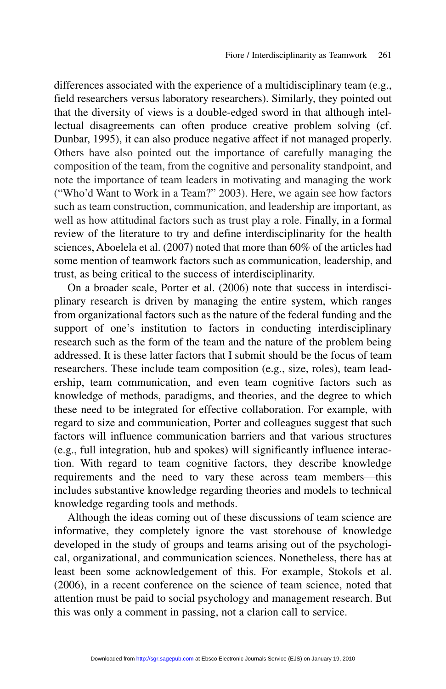differences associated with the experience of a multidisciplinary team (e.g., field researchers versus laboratory researchers). Similarly, they pointed out that the diversity of views is a double-edged sword in that although intellectual disagreements can often produce creative problem solving (cf. Dunbar, 1995), it can also produce negative affect if not managed properly. Others have also pointed out the importance of carefully managing the composition of the team, from the cognitive and personality standpoint, and note the importance of team leaders in motivating and managing the work ("Who'd Want to Work in a Team?" 2003). Here, we again see how factors such as team construction, communication, and leadership are important, as well as how attitudinal factors such as trust play a role. Finally, in a formal review of the literature to try and define interdisciplinarity for the health sciences, Aboelela et al. (2007) noted that more than 60% of the articles had some mention of teamwork factors such as communication, leadership, and trust, as being critical to the success of interdisciplinarity.

On a broader scale, Porter et al. (2006) note that success in interdisciplinary research is driven by managing the entire system, which ranges from organizational factors such as the nature of the federal funding and the support of one's institution to factors in conducting interdisciplinary research such as the form of the team and the nature of the problem being addressed. It is these latter factors that I submit should be the focus of team researchers. These include team composition (e.g., size, roles), team leadership, team communication, and even team cognitive factors such as knowledge of methods, paradigms, and theories, and the degree to which these need to be integrated for effective collaboration. For example, with regard to size and communication, Porter and colleagues suggest that such factors will influence communication barriers and that various structures (e.g., full integration, hub and spokes) will significantly influence interaction. With regard to team cognitive factors, they describe knowledge requirements and the need to vary these across team members—this includes substantive knowledge regarding theories and models to technical knowledge regarding tools and methods.

Although the ideas coming out of these discussions of team science are informative, they completely ignore the vast storehouse of knowledge developed in the study of groups and teams arising out of the psychological, organizational, and communication sciences. Nonetheless, there has at least been some acknowledgement of this. For example, Stokols et al. (2006), in a recent conference on the science of team science, noted that attention must be paid to social psychology and management research. But this was only a comment in passing, not a clarion call to service.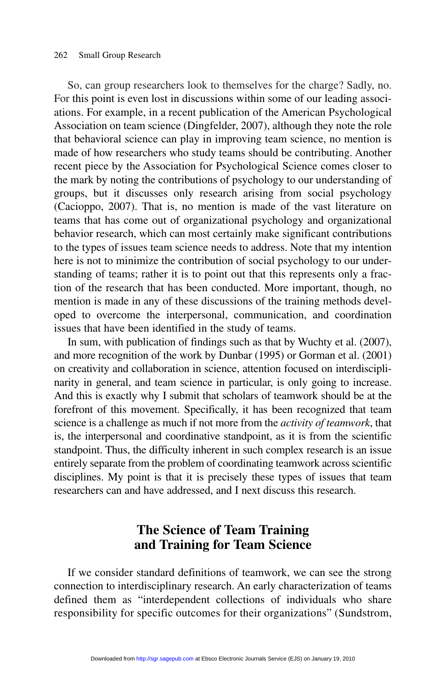So, can group researchers look to themselves for the charge? Sadly, no. For this point is even lost in discussions within some of our leading associations. For example, in a recent publication of the American Psychological Association on team science (Dingfelder, 2007), although they note the role that behavioral science can play in improving team science, no mention is made of how researchers who study teams should be contributing. Another recent piece by the Association for Psychological Science comes closer to the mark by noting the contributions of psychology to our understanding of groups, but it discusses only research arising from social psychology (Cacioppo, 2007). That is, no mention is made of the vast literature on teams that has come out of organizational psychology and organizational behavior research, which can most certainly make significant contributions to the types of issues team science needs to address. Note that my intention here is not to minimize the contribution of social psychology to our understanding of teams; rather it is to point out that this represents only a fraction of the research that has been conducted. More important, though, no mention is made in any of these discussions of the training methods developed to overcome the interpersonal, communication, and coordination issues that have been identified in the study of teams.

In sum, with publication of findings such as that by Wuchty et al. (2007), and more recognition of the work by Dunbar (1995) or Gorman et al. (2001) on creativity and collaboration in science, attention focused on interdisciplinarity in general, and team science in particular, is only going to increase. And this is exactly why I submit that scholars of teamwork should be at the forefront of this movement. Specifically, it has been recognized that team science is a challenge as much if not more from the *activity of teamwork*, that is, the interpersonal and coordinative standpoint, as it is from the scientific standpoint. Thus, the difficulty inherent in such complex research is an issue entirely separate from the problem of coordinating teamwork across scientific disciplines. My point is that it is precisely these types of issues that team researchers can and have addressed, and I next discuss this research.

#### **The Science of Team Training and Training for Team Science**

If we consider standard definitions of teamwork, we can see the strong connection to interdisciplinary research. An early characterization of teams defined them as "interdependent collections of individuals who share responsibility for specific outcomes for their organizations" (Sundstrom,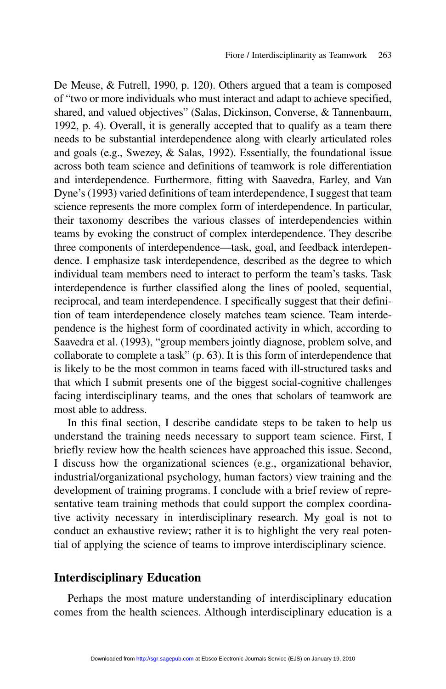De Meuse, & Futrell, 1990, p. 120). Others argued that a team is composed of "two or more individuals who must interact and adapt to achieve specified, shared, and valued objectives" (Salas, Dickinson, Converse, & Tannenbaum, 1992, p. 4). Overall, it is generally accepted that to qualify as a team there needs to be substantial interdependence along with clearly articulated roles and goals (e.g., Swezey, & Salas, 1992). Essentially, the foundational issue across both team science and definitions of teamwork is role differentiation and interdependence. Furthermore, fitting with Saavedra, Earley, and Van Dyne's (1993) varied definitions of team interdependence, I suggest that team science represents the more complex form of interdependence. In particular, their taxonomy describes the various classes of interdependencies within teams by evoking the construct of complex interdependence. They describe three components of interdependence—task, goal, and feedback interdependence. I emphasize task interdependence, described as the degree to which individual team members need to interact to perform the team's tasks. Task interdependence is further classified along the lines of pooled, sequential, reciprocal, and team interdependence. I specifically suggest that their definition of team interdependence closely matches team science. Team interdependence is the highest form of coordinated activity in which, according to Saavedra et al. (1993), "group members jointly diagnose, problem solve, and collaborate to complete a task" (p. 63). It is this form of interdependence that is likely to be the most common in teams faced with ill-structured tasks and that which I submit presents one of the biggest social-cognitive challenges facing interdisciplinary teams, and the ones that scholars of teamwork are most able to address.

In this final section, I describe candidate steps to be taken to help us understand the training needs necessary to support team science. First, I briefly review how the health sciences have approached this issue. Second, I discuss how the organizational sciences (e.g., organizational behavior, industrial/organizational psychology, human factors) view training and the development of training programs. I conclude with a brief review of representative team training methods that could support the complex coordinative activity necessary in interdisciplinary research. My goal is not to conduct an exhaustive review; rather it is to highlight the very real potential of applying the science of teams to improve interdisciplinary science.

#### **Interdisciplinary Education**

Perhaps the most mature understanding of interdisciplinary education comes from the health sciences. Although interdisciplinary education is a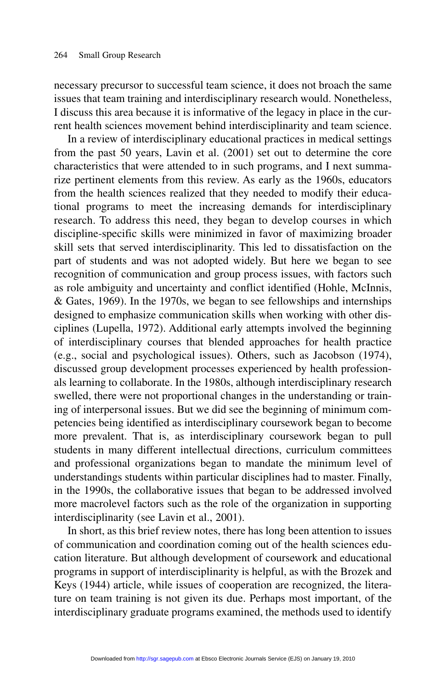necessary precursor to successful team science, it does not broach the same issues that team training and interdisciplinary research would. Nonetheless, I discuss this area because it is informative of the legacy in place in the current health sciences movement behind interdisciplinarity and team science.

In a review of interdisciplinary educational practices in medical settings from the past 50 years, Lavin et al. (2001) set out to determine the core characteristics that were attended to in such programs, and I next summarize pertinent elements from this review. As early as the 1960s, educators from the health sciences realized that they needed to modify their educational programs to meet the increasing demands for interdisciplinary research. To address this need, they began to develop courses in which discipline-specific skills were minimized in favor of maximizing broader skill sets that served interdisciplinarity. This led to dissatisfaction on the part of students and was not adopted widely. But here we began to see recognition of communication and group process issues, with factors such as role ambiguity and uncertainty and conflict identified (Hohle, McInnis, & Gates, 1969). In the 1970s, we began to see fellowships and internships designed to emphasize communication skills when working with other disciplines (Lupella, 1972). Additional early attempts involved the beginning of interdisciplinary courses that blended approaches for health practice (e.g., social and psychological issues). Others, such as Jacobson (1974), discussed group development processes experienced by health professionals learning to collaborate. In the 1980s, although interdisciplinary research swelled, there were not proportional changes in the understanding or training of interpersonal issues. But we did see the beginning of minimum competencies being identified as interdisciplinary coursework began to become more prevalent. That is, as interdisciplinary coursework began to pull students in many different intellectual directions, curriculum committees and professional organizations began to mandate the minimum level of understandings students within particular disciplines had to master. Finally, in the 1990s, the collaborative issues that began to be addressed involved more macrolevel factors such as the role of the organization in supporting interdisciplinarity (see Lavin et al., 2001).

In short, as this brief review notes, there has long been attention to issues of communication and coordination coming out of the health sciences education literature. But although development of coursework and educational programs in support of interdisciplinarity is helpful, as with the Brozek and Keys (1944) article, while issues of cooperation are recognized, the literature on team training is not given its due. Perhaps most important, of the interdisciplinary graduate programs examined, the methods used to identify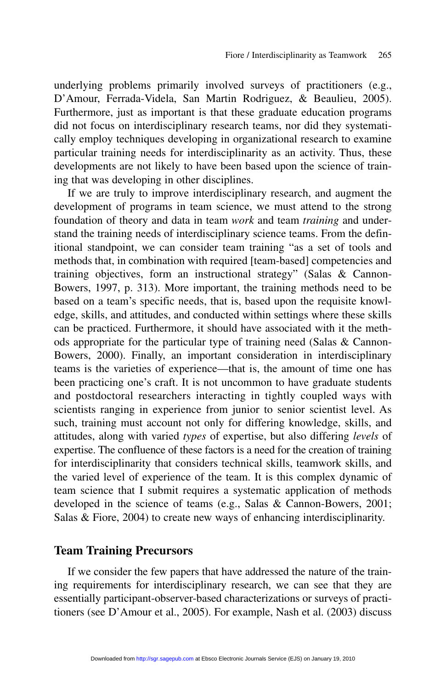underlying problems primarily involved surveys of practitioners (e.g., D'Amour, Ferrada-Videla, San Martin Rodriguez, & Beaulieu, 2005). Furthermore, just as important is that these graduate education programs did not focus on interdisciplinary research teams, nor did they systematically employ techniques developing in organizational research to examine particular training needs for interdisciplinarity as an activity. Thus, these developments are not likely to have been based upon the science of training that was developing in other disciplines.

If we are truly to improve interdisciplinary research, and augment the development of programs in team science, we must attend to the strong foundation of theory and data in team *work* and team *training* and understand the training needs of interdisciplinary science teams. From the definitional standpoint, we can consider team training "as a set of tools and methods that, in combination with required [team-based] competencies and training objectives, form an instructional strategy" (Salas & Cannon-Bowers, 1997, p. 313). More important, the training methods need to be based on a team's specific needs, that is, based upon the requisite knowledge, skills, and attitudes, and conducted within settings where these skills can be practiced. Furthermore, it should have associated with it the methods appropriate for the particular type of training need (Salas & Cannon-Bowers, 2000). Finally, an important consideration in interdisciplinary teams is the varieties of experience—that is, the amount of time one has been practicing one's craft. It is not uncommon to have graduate students and postdoctoral researchers interacting in tightly coupled ways with scientists ranging in experience from junior to senior scientist level. As such, training must account not only for differing knowledge, skills, and attitudes, along with varied *types* of expertise, but also differing *levels* of expertise. The confluence of these factors is a need for the creation of training for interdisciplinarity that considers technical skills, teamwork skills, and the varied level of experience of the team. It is this complex dynamic of team science that I submit requires a systematic application of methods developed in the science of teams (e.g., Salas & Cannon-Bowers, 2001; Salas & Fiore, 2004) to create new ways of enhancing interdisciplinarity.

#### **Team Training Precursors**

If we consider the few papers that have addressed the nature of the training requirements for interdisciplinary research, we can see that they are essentially participant-observer-based characterizations or surveys of practitioners (see D'Amour et al., 2005). For example, Nash et al. (2003) discuss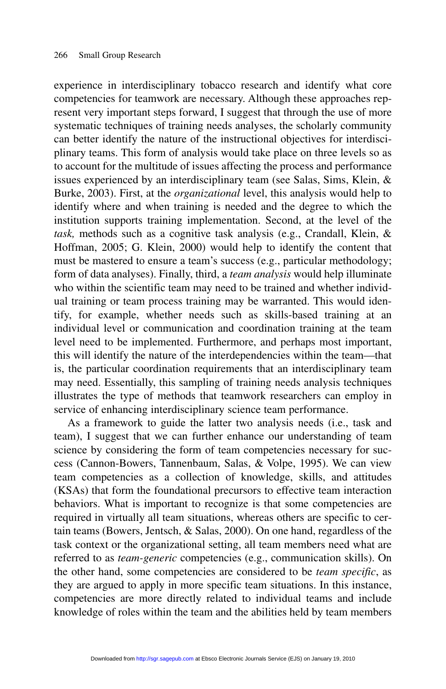experience in interdisciplinary tobacco research and identify what core competencies for teamwork are necessary. Although these approaches represent very important steps forward, I suggest that through the use of more systematic techniques of training needs analyses, the scholarly community can better identify the nature of the instructional objectives for interdisciplinary teams. This form of analysis would take place on three levels so as to account for the multitude of issues affecting the process and performance issues experienced by an interdisciplinary team (see Salas, Sims, Klein, & Burke, 2003). First, at the *organizational* level, this analysis would help to identify where and when training is needed and the degree to which the institution supports training implementation. Second, at the level of the *task,* methods such as a cognitive task analysis (e.g., Crandall, Klein, & Hoffman, 2005; G. Klein, 2000) would help to identify the content that must be mastered to ensure a team's success (e.g., particular methodology; form of data analyses). Finally, third, a *team analysis* would help illuminate who within the scientific team may need to be trained and whether individual training or team process training may be warranted. This would identify, for example, whether needs such as skills-based training at an individual level or communication and coordination training at the team level need to be implemented. Furthermore, and perhaps most important, this will identify the nature of the interdependencies within the team—that is, the particular coordination requirements that an interdisciplinary team may need. Essentially, this sampling of training needs analysis techniques illustrates the type of methods that teamwork researchers can employ in service of enhancing interdisciplinary science team performance.

As a framework to guide the latter two analysis needs (i.e., task and team), I suggest that we can further enhance our understanding of team science by considering the form of team competencies necessary for success (Cannon-Bowers, Tannenbaum, Salas, & Volpe, 1995). We can view team competencies as a collection of knowledge, skills, and attitudes (KSAs) that form the foundational precursors to effective team interaction behaviors. What is important to recognize is that some competencies are required in virtually all team situations, whereas others are specific to certain teams (Bowers, Jentsch, & Salas, 2000). On one hand, regardless of the task context or the organizational setting, all team members need what are referred to as *team-generic* competencies (e.g., communication skills). On the other hand, some competencies are considered to be *team specific*, as they are argued to apply in more specific team situations. In this instance, competencies are more directly related to individual teams and include knowledge of roles within the team and the abilities held by team members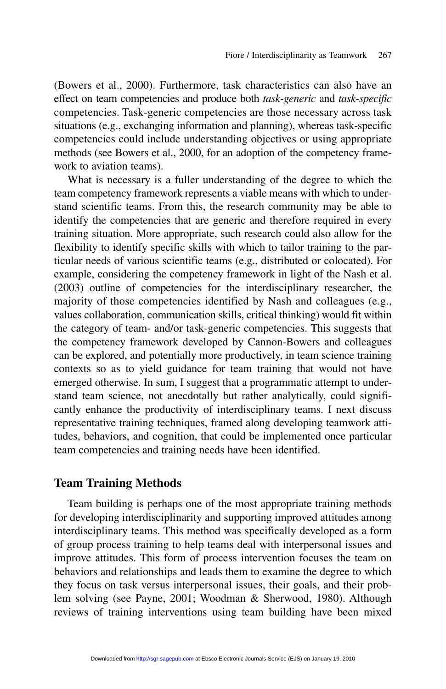(Bowers et al., 2000). Furthermore, task characteristics can also have an effect on team competencies and produce both *task-generic* and *task-specific* competencies. Task-generic competencies are those necessary across task situations (e.g., exchanging information and planning), whereas task-specific competencies could include understanding objectives or using appropriate methods (see Bowers et al., 2000, for an adoption of the competency framework to aviation teams).

What is necessary is a fuller understanding of the degree to which the team competency framework represents a viable means with which to understand scientific teams. From this, the research community may be able to identify the competencies that are generic and therefore required in every training situation. More appropriate, such research could also allow for the flexibility to identify specific skills with which to tailor training to the particular needs of various scientific teams (e.g., distributed or colocated). For example, considering the competency framework in light of the Nash et al. (2003) outline of competencies for the interdisciplinary researcher, the majority of those competencies identified by Nash and colleagues (e.g., values collaboration, communication skills, critical thinking) would fit within the category of team- and/or task-generic competencies. This suggests that the competency framework developed by Cannon-Bowers and colleagues can be explored, and potentially more productively, in team science training contexts so as to yield guidance for team training that would not have emerged otherwise. In sum, I suggest that a programmatic attempt to understand team science, not anecdotally but rather analytically, could significantly enhance the productivity of interdisciplinary teams. I next discuss representative training techniques, framed along developing teamwork attitudes, behaviors, and cognition, that could be implemented once particular team competencies and training needs have been identified.

#### **Team Training Methods**

Team building is perhaps one of the most appropriate training methods for developing interdisciplinarity and supporting improved attitudes among interdisciplinary teams. This method was specifically developed as a form of group process training to help teams deal with interpersonal issues and improve attitudes. This form of process intervention focuses the team on behaviors and relationships and leads them to examine the degree to which they focus on task versus interpersonal issues, their goals, and their problem solving (see Payne, 2001; Woodman & Sherwood, 1980). Although reviews of training interventions using team building have been mixed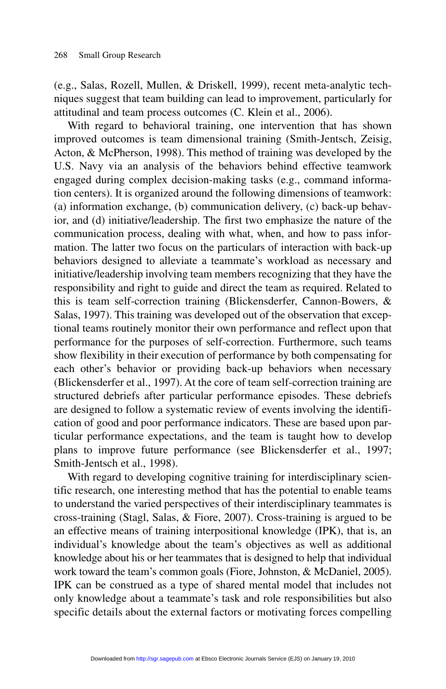(e.g., Salas, Rozell, Mullen, & Driskell, 1999), recent meta-analytic techniques suggest that team building can lead to improvement, particularly for attitudinal and team process outcomes (C. Klein et al., 2006).

With regard to behavioral training, one intervention that has shown improved outcomes is team dimensional training (Smith-Jentsch, Zeisig, Acton, & McPherson, 1998). This method of training was developed by the U.S. Navy via an analysis of the behaviors behind effective teamwork engaged during complex decision-making tasks (e.g., command information centers). It is organized around the following dimensions of teamwork: (a) information exchange, (b) communication delivery, (c) back-up behavior, and (d) initiative/leadership. The first two emphasize the nature of the communication process, dealing with what, when, and how to pass information. The latter two focus on the particulars of interaction with back-up behaviors designed to alleviate a teammate's workload as necessary and initiative/leadership involving team members recognizing that they have the responsibility and right to guide and direct the team as required. Related to this is team self-correction training (Blickensderfer, Cannon-Bowers, & Salas, 1997). This training was developed out of the observation that exceptional teams routinely monitor their own performance and reflect upon that performance for the purposes of self-correction. Furthermore, such teams show flexibility in their execution of performance by both compensating for each other's behavior or providing back-up behaviors when necessary (Blickensderfer et al., 1997). At the core of team self-correction training are structured debriefs after particular performance episodes. These debriefs are designed to follow a systematic review of events involving the identification of good and poor performance indicators. These are based upon particular performance expectations, and the team is taught how to develop plans to improve future performance (see Blickensderfer et al., 1997; Smith-Jentsch et al., 1998).

With regard to developing cognitive training for interdisciplinary scientific research, one interesting method that has the potential to enable teams to understand the varied perspectives of their interdisciplinary teammates is cross-training (Stagl, Salas, & Fiore, 2007). Cross-training is argued to be an effective means of training interpositional knowledge (IPK), that is, an individual's knowledge about the team's objectives as well as additional knowledge about his or her teammates that is designed to help that individual work toward the team's common goals (Fiore, Johnston, & McDaniel, 2005). IPK can be construed as a type of shared mental model that includes not only knowledge about a teammate's task and role responsibilities but also specific details about the external factors or motivating forces compelling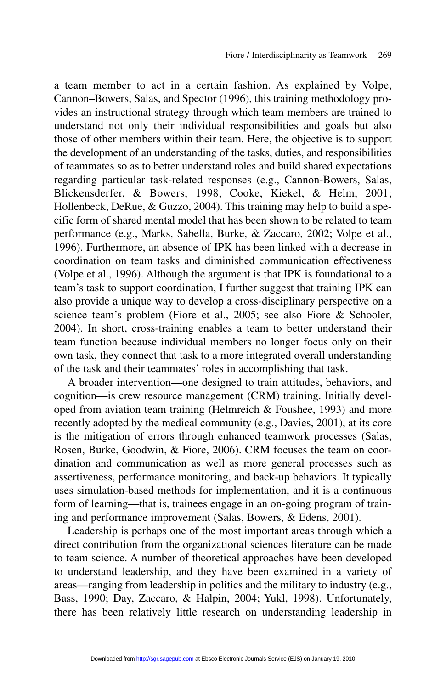a team member to act in a certain fashion. As explained by Volpe, Cannon–Bowers, Salas, and Spector (1996), this training methodology provides an instructional strategy through which team members are trained to understand not only their individual responsibilities and goals but also those of other members within their team. Here, the objective is to support the development of an understanding of the tasks, duties, and responsibilities of teammates so as to better understand roles and build shared expectations regarding particular task-related responses (e.g., Cannon-Bowers, Salas, Blickensderfer, & Bowers, 1998; Cooke, Kiekel, & Helm, 2001; Hollenbeck, DeRue, & Guzzo, 2004). This training may help to build a specific form of shared mental model that has been shown to be related to team performance (e.g., Marks, Sabella, Burke, & Zaccaro, 2002; Volpe et al., 1996). Furthermore, an absence of IPK has been linked with a decrease in coordination on team tasks and diminished communication effectiveness (Volpe et al., 1996). Although the argument is that IPK is foundational to a team's task to support coordination, I further suggest that training IPK can also provide a unique way to develop a cross-disciplinary perspective on a science team's problem (Fiore et al., 2005; see also Fiore & Schooler, 2004). In short, cross-training enables a team to better understand their team function because individual members no longer focus only on their own task, they connect that task to a more integrated overall understanding of the task and their teammates' roles in accomplishing that task.

A broader intervention—one designed to train attitudes, behaviors, and cognition—is crew resource management (CRM) training. Initially developed from aviation team training (Helmreich & Foushee, 1993) and more recently adopted by the medical community (e.g., Davies, 2001), at its core is the mitigation of errors through enhanced teamwork processes (Salas, Rosen, Burke, Goodwin, & Fiore, 2006). CRM focuses the team on coordination and communication as well as more general processes such as assertiveness, performance monitoring, and back-up behaviors. It typically uses simulation-based methods for implementation, and it is a continuous form of learning—that is, trainees engage in an on-going program of training and performance improvement (Salas, Bowers, & Edens, 2001).

Leadership is perhaps one of the most important areas through which a direct contribution from the organizational sciences literature can be made to team science. A number of theoretical approaches have been developed to understand leadership, and they have been examined in a variety of areas—ranging from leadership in politics and the military to industry (e.g., Bass, 1990; Day, Zaccaro, & Halpin, 2004; Yukl, 1998). Unfortunately, there has been relatively little research on understanding leadership in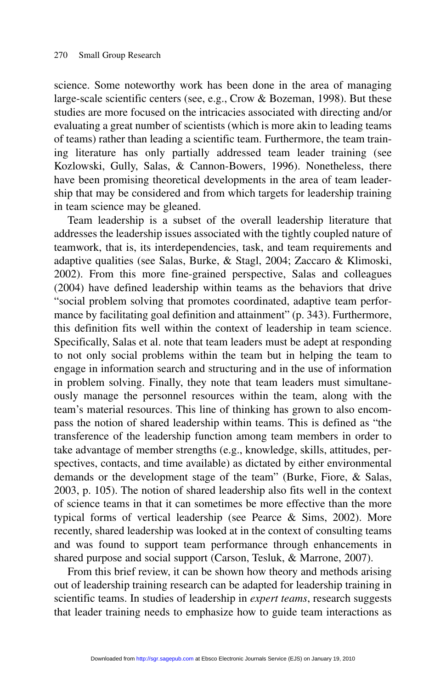science. Some noteworthy work has been done in the area of managing large-scale scientific centers (see, e.g., Crow & Bozeman, 1998). But these studies are more focused on the intricacies associated with directing and/or evaluating a great number of scientists (which is more akin to leading teams of teams) rather than leading a scientific team. Furthermore, the team training literature has only partially addressed team leader training (see Kozlowski, Gully, Salas, & Cannon-Bowers, 1996). Nonetheless, there have been promising theoretical developments in the area of team leadership that may be considered and from which targets for leadership training in team science may be gleaned.

Team leadership is a subset of the overall leadership literature that addresses the leadership issues associated with the tightly coupled nature of teamwork, that is, its interdependencies, task, and team requirements and adaptive qualities (see Salas, Burke, & Stagl, 2004; Zaccaro & Klimoski, 2002). From this more fine-grained perspective, Salas and colleagues (2004) have defined leadership within teams as the behaviors that drive "social problem solving that promotes coordinated, adaptive team performance by facilitating goal definition and attainment" (p. 343). Furthermore, this definition fits well within the context of leadership in team science. Specifically, Salas et al. note that team leaders must be adept at responding to not only social problems within the team but in helping the team to engage in information search and structuring and in the use of information in problem solving. Finally, they note that team leaders must simultaneously manage the personnel resources within the team, along with the team's material resources. This line of thinking has grown to also encompass the notion of shared leadership within teams. This is defined as "the transference of the leadership function among team members in order to take advantage of member strengths (e.g., knowledge, skills, attitudes, perspectives, contacts, and time available) as dictated by either environmental demands or the development stage of the team" (Burke, Fiore, & Salas, 2003, p. 105). The notion of shared leadership also fits well in the context of science teams in that it can sometimes be more effective than the more typical forms of vertical leadership (see Pearce & Sims, 2002). More recently, shared leadership was looked at in the context of consulting teams and was found to support team performance through enhancements in shared purpose and social support (Carson, Tesluk, & Marrone, 2007).

From this brief review, it can be shown how theory and methods arising out of leadership training research can be adapted for leadership training in scientific teams. In studies of leadership in *expert teams*, research suggests that leader training needs to emphasize how to guide team interactions as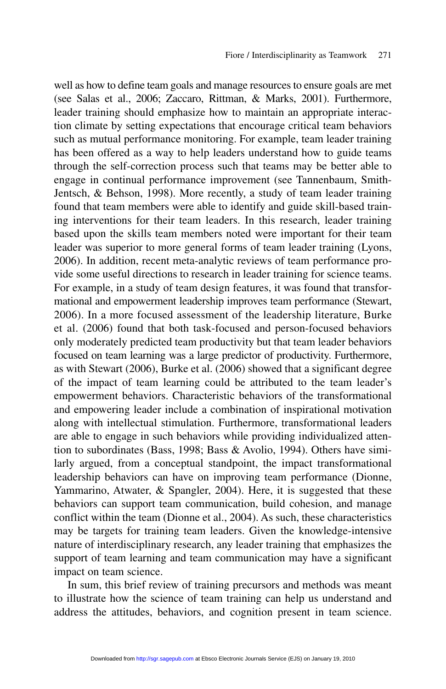well as how to define team goals and manage resources to ensure goals are met (see Salas et al., 2006; Zaccaro, Rittman, & Marks, 2001). Furthermore, leader training should emphasize how to maintain an appropriate interaction climate by setting expectations that encourage critical team behaviors such as mutual performance monitoring. For example, team leader training has been offered as a way to help leaders understand how to guide teams through the self-correction process such that teams may be better able to engage in continual performance improvement (see Tannenbaum, Smith-Jentsch, & Behson, 1998). More recently, a study of team leader training found that team members were able to identify and guide skill-based training interventions for their team leaders. In this research, leader training based upon the skills team members noted were important for their team leader was superior to more general forms of team leader training (Lyons, 2006). In addition, recent meta-analytic reviews of team performance provide some useful directions to research in leader training for science teams. For example, in a study of team design features, it was found that transformational and empowerment leadership improves team performance (Stewart, 2006). In a more focused assessment of the leadership literature, Burke et al. (2006) found that both task-focused and person-focused behaviors only moderately predicted team productivity but that team leader behaviors focused on team learning was a large predictor of productivity. Furthermore, as with Stewart (2006), Burke et al. (2006) showed that a significant degree of the impact of team learning could be attributed to the team leader's empowerment behaviors. Characteristic behaviors of the transformational and empowering leader include a combination of inspirational motivation along with intellectual stimulation. Furthermore, transformational leaders are able to engage in such behaviors while providing individualized attention to subordinates (Bass, 1998; Bass & Avolio, 1994). Others have similarly argued, from a conceptual standpoint, the impact transformational leadership behaviors can have on improving team performance (Dionne, Yammarino, Atwater, & Spangler, 2004). Here, it is suggested that these behaviors can support team communication, build cohesion, and manage conflict within the team (Dionne et al., 2004). As such, these characteristics may be targets for training team leaders. Given the knowledge-intensive nature of interdisciplinary research, any leader training that emphasizes the support of team learning and team communication may have a significant impact on team science.

In sum, this brief review of training precursors and methods was meant to illustrate how the science of team training can help us understand and address the attitudes, behaviors, and cognition present in team science.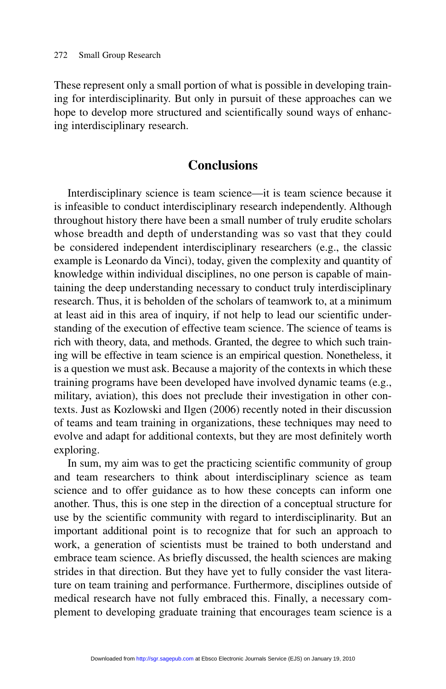These represent only a small portion of what is possible in developing training for interdisciplinarity. But only in pursuit of these approaches can we hope to develop more structured and scientifically sound ways of enhancing interdisciplinary research.

#### **Conclusions**

Interdisciplinary science is team science—it is team science because it is infeasible to conduct interdisciplinary research independently. Although throughout history there have been a small number of truly erudite scholars whose breadth and depth of understanding was so vast that they could be considered independent interdisciplinary researchers (e.g., the classic example is Leonardo da Vinci), today, given the complexity and quantity of knowledge within individual disciplines, no one person is capable of maintaining the deep understanding necessary to conduct truly interdisciplinary research. Thus, it is beholden of the scholars of teamwork to, at a minimum at least aid in this area of inquiry, if not help to lead our scientific understanding of the execution of effective team science. The science of teams is rich with theory, data, and methods. Granted, the degree to which such training will be effective in team science is an empirical question. Nonetheless, it is a question we must ask. Because a majority of the contexts in which these training programs have been developed have involved dynamic teams (e.g., military, aviation), this does not preclude their investigation in other contexts. Just as Kozlowski and Ilgen (2006) recently noted in their discussion of teams and team training in organizations, these techniques may need to evolve and adapt for additional contexts, but they are most definitely worth exploring.

In sum, my aim was to get the practicing scientific community of group and team researchers to think about interdisciplinary science as team science and to offer guidance as to how these concepts can inform one another. Thus, this is one step in the direction of a conceptual structure for use by the scientific community with regard to interdisciplinarity. But an important additional point is to recognize that for such an approach to work, a generation of scientists must be trained to both understand and embrace team science. As briefly discussed, the health sciences are making strides in that direction. But they have yet to fully consider the vast literature on team training and performance. Furthermore, disciplines outside of medical research have not fully embraced this. Finally, a necessary complement to developing graduate training that encourages team science is a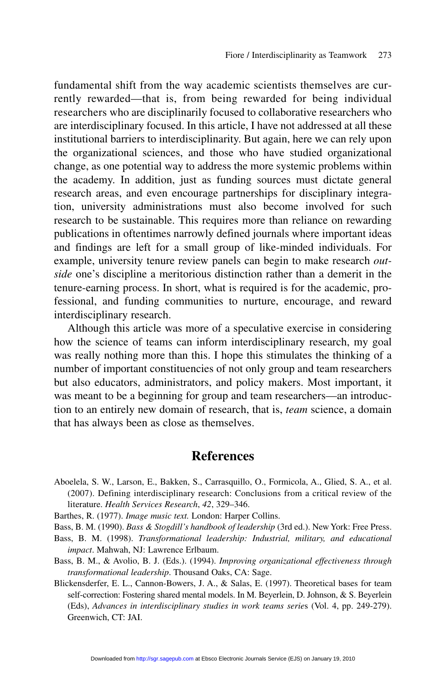fundamental shift from the way academic scientists themselves are currently rewarded—that is, from being rewarded for being individual researchers who are disciplinarily focused to collaborative researchers who are interdisciplinary focused. In this article, I have not addressed at all these institutional barriers to interdisciplinarity. But again, here we can rely upon the organizational sciences, and those who have studied organizational change, as one potential way to address the more systemic problems within the academy. In addition, just as funding sources must dictate general research areas, and even encourage partnerships for disciplinary integration, university administrations must also become involved for such research to be sustainable. This requires more than reliance on rewarding publications in oftentimes narrowly defined journals where important ideas and findings are left for a small group of like-minded individuals. For example, university tenure review panels can begin to make research *outside* one's discipline a meritorious distinction rather than a demerit in the tenure-earning process. In short, what is required is for the academic, professional, and funding communities to nurture, encourage, and reward interdisciplinary research.

Although this article was more of a speculative exercise in considering how the science of teams can inform interdisciplinary research, my goal was really nothing more than this. I hope this stimulates the thinking of a number of important constituencies of not only group and team researchers but also educators, administrators, and policy makers. Most important, it was meant to be a beginning for group and team researchers—an introduction to an entirely new domain of research, that is, *team* science, a domain that has always been as close as themselves.

#### **References**

- Aboelela, S. W., Larson, E., Bakken, S., Carrasquillo, O., Formicola, A., Glied, S. A., et al. (2007). Defining interdisciplinary research: Conclusions from a critical review of the literature. *Health Services Research*, *42*, 329–346.
- Barthes, R. (1977). *Image music text.* London: Harper Collins.
- Bass, B. M. (1990). *Bass & Stogdill's handbook of leadership* (3rd ed.). New York: Free Press.
- Bass, B. M. (1998). *Transformational leadership: Industrial, military, and educational impact*. Mahwah, NJ: Lawrence Erlbaum.
- Bass, B. M., & Avolio, B. J. (Eds.). (1994). *Improving organizational effectiveness through transformational leadership*. Thousand Oaks, CA: Sage.
- Blickensderfer, E. L., Cannon-Bowers, J. A., & Salas, E. (1997). Theoretical bases for team self-correction: Fostering shared mental models. In M. Beyerlein, D. Johnson, & S. Beyerlein (Eds), *Advances in interdisciplinary studies in work teams serie*s (Vol. 4, pp. 249-279). Greenwich, CT: JAI.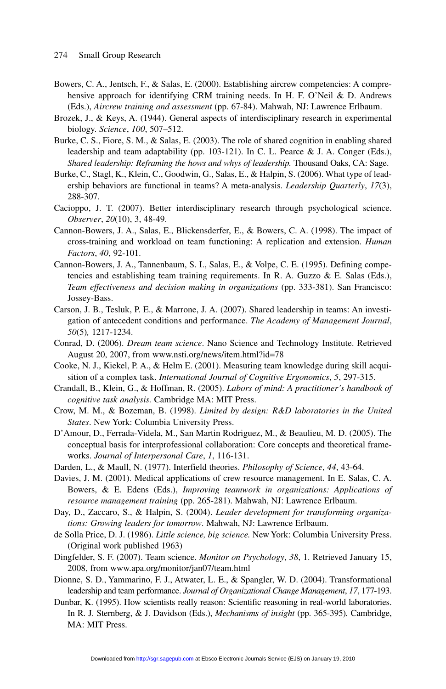- Bowers, C. A., Jentsch, F., & Salas, E. (2000). Establishing aircrew competencies: A comprehensive approach for identifying CRM training needs. In H. F. O'Neil & D. Andrews (Eds.), *Aircrew training and assessment* (pp. 67-84). Mahwah, NJ: Lawrence Erlbaum.
- Brozek, J., & Keys, A. (1944). General aspects of interdisciplinary research in experimental biology. *Science*, *100*, 507–512.
- Burke, C. S., Fiore, S. M., & Salas, E. (2003). The role of shared cognition in enabling shared leadership and team adaptability (pp. 103-121). In C. L. Pearce & J. A. Conger (Eds.), *Shared leadership: Reframing the hows and whys of leadership.* Thousand Oaks, CA: Sage.
- Burke, C., Stagl, K., Klein, C., Goodwin, G., Salas, E., & Halpin, S. (2006). What type of leadership behaviors are functional in teams? A meta-analysis. *Leadership Quarterly*, *17*(3), 288-307.
- Cacioppo, J. T. (2007). Better interdisciplinary research through psychological science. *Observer*, *20*(10), 3, 48-49.
- Cannon-Bowers, J. A., Salas, E., Blickensderfer, E., & Bowers, C. A. (1998). The impact of cross-training and workload on team functioning: A replication and extension. *Human Factors*, *40*, 92-101.
- Cannon-Bowers, J. A., Tannenbaum, S. I., Salas, E., & Volpe, C. E. (1995). Defining competencies and establishing team training requirements. In R. A. Guzzo  $\&$  E. Salas (Eds.), *Team effectiveness and decision making in organizations* (pp. 333-381). San Francisco: Jossey-Bass.
- Carson, J. B., Tesluk, P. E., & Marrone, J. A. (2007). Shared leadership in teams: An investigation of antecedent conditions and performance. *The Academy of Management Journal*, *50*(5)*,* 1217-1234.
- Conrad, D. (2006). *Dream team science*. Nano Science and Technology Institute. Retrieved August 20, 2007, from www.nsti.org/news/item.html?id=78
- Cooke, N. J., Kiekel, P. A., & Helm E. (2001). Measuring team knowledge during skill acquisition of a complex task. *International Journal of Cognitive Ergonomics*, *5*, 297-315.
- Crandall, B., Klein, G., & Hoffman, R. (2005). *Labors of mind: A practitioner's handbook of cognitive task analysis.* Cambridge MA: MIT Press.
- Crow, M. M., & Bozeman, B. (1998). *Limited by design: R&D laboratories in the United States*. New York: Columbia University Press.
- D'Amour, D., Ferrada-Videla, M., San Martin Rodriguez, M., & Beaulieu, M. D. (2005). The conceptual basis for interprofessional collaboration: Core concepts and theoretical frameworks. *Journal of Interpersonal Care*, *1*, 116-131.
- Darden, L., & Maull, N. (1977). Interfield theories. *Philosophy of Science*, *44*, 43-64.
- Davies, J. M. (2001). Medical applications of crew resource management. In E. Salas, C. A. Bowers, & E. Edens (Eds.), *Improving teamwork in organizations: Applications of resource management training* (pp. 265-281). Mahwah, NJ: Lawrence Erlbaum.
- Day, D., Zaccaro, S., & Halpin, S. (2004). *Leader development for transforming organizations: Growing leaders for tomorrow*. Mahwah, NJ: Lawrence Erlbaum.
- de Solla Price, D. J. (1986). *Little science, big science.* New York: Columbia University Press. (Original work published 1963)
- Dingfelder, S. F. (2007). Team science. *Monitor on Psychology*, *38*, 1. Retrieved January 15, 2008, from www.apa.org/monitor/jan07/team.html
- Dionne, S. D., Yammarino, F. J., Atwater, L. E., & Spangler, W. D. (2004). Transformational leadership and team performance. *Journal of Organizational Change Management*, *17*, 177-193.
- Dunbar, K. (1995). How scientists really reason: Scientific reasoning in real-world laboratories. In R. J. Sternberg, & J. Davidson (Eds.), *Mechanisms of insight* (pp. 365-395)*.* Cambridge, MA: MIT Press.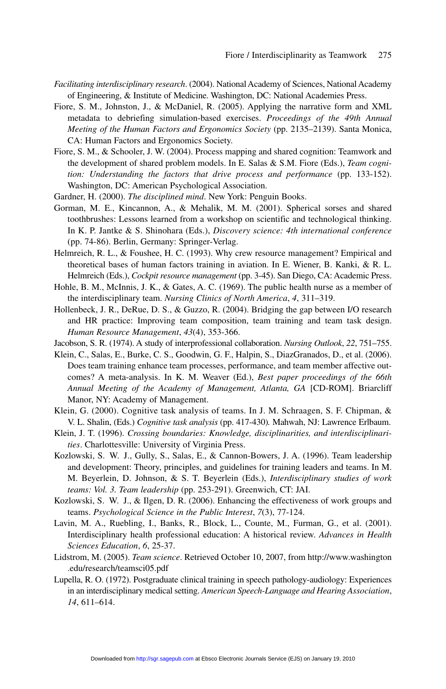- *Facilitating interdisciplinary research*. (2004). National Academy of Sciences, National Academy of Engineering, & Institute of Medicine. Washington, DC: National Academies Press.
- Fiore, S. M., Johnston, J., & McDaniel, R. (2005). Applying the narrative form and XML metadata to debriefing simulation-based exercises. *Proceedings of the 49th Annual Meeting of the Human Factors and Ergonomics Society* (pp. 2135–2139). Santa Monica, CA: Human Factors and Ergonomics Society.
- Fiore, S. M., & Schooler, J. W. (2004). Process mapping and shared cognition: Teamwork and the development of shared problem models. In E. Salas & S.M. Fiore (Eds.), *Team cognition: Understanding the factors that drive process and performance* (pp. 133-152). Washington, DC: American Psychological Association.
- Gardner, H. (2000). *The disciplined mind*. New York: Penguin Books.
- Gorman, M. E., Kincannon, A., & Mehalik, M. M. (2001). Spherical sorses and shared toothbrushes: Lessons learned from a workshop on scientific and technological thinking. In K. P. Jantke & S. Shinohara (Eds.), *Discovery science: 4th international conference* (pp. 74-86). Berlin, Germany: Springer-Verlag.
- Helmreich, R. L., & Foushee, H. C. (1993). Why crew resource management? Empirical and theoretical bases of human factors training in aviation. In E. Wiener, B. Kanki, & R. L. Helmreich (Eds.), *Cockpit resource management* (pp. 3-45). San Diego, CA: Academic Press.
- Hohle, B. M., McInnis, J. K., & Gates, A. C. (1969). The public health nurse as a member of the interdisciplinary team. *Nursing Clinics of North America*, *4*, 311–319.
- Hollenbeck, J. R., DeRue, D. S., & Guzzo, R. (2004). Bridging the gap between I/O research and HR practice: Improving team composition, team training and team task design. *Human Resource Management*, *43*(4), 353-366.
- Jacobson, S. R. (1974). A study of interprofessional collaboration. *Nursing Outlook*, *22*, 751–755.
- Klein, C., Salas, E., Burke, C. S., Goodwin, G. F., Halpin, S., DiazGranados, D., et al. (2006). Does team training enhance team processes, performance, and team member affective outcomes? A meta-analysis. In K. M. Weaver (Ed.), *Best paper proceedings of the 66th Annual Meeting of the Academy of Management, Atlanta, GA* [CD-ROM]. Briarcliff Manor, NY: Academy of Management.
- Klein, G. (2000). Cognitive task analysis of teams. In J. M. Schraagen, S. F. Chipman, & V. L. Shalin, (Eds.) *Cognitive task analysis* (pp. 417-430)*.* Mahwah, NJ: Lawrence Erlbaum.
- Klein, J. T. (1996). *Crossing boundaries: Knowledge, disciplinarities, and interdisciplinarities*. Charlottesville: University of Virginia Press.
- Kozlowski, S. W. J., Gully, S., Salas, E., & Cannon-Bowers, J. A. (1996). Team leadership and development: Theory, principles, and guidelines for training leaders and teams. In M. M. Beyerlein, D. Johnson, & S. T. Beyerlein (Eds.), *Interdisciplinary studies of work teams: Vol. 3. Team leadership* (pp. 253-291). Greenwich, CT: JAI.
- Kozlowski, S. W. J., & Ilgen, D. R. (2006). Enhancing the effectiveness of work groups and teams. *Psychological Science in the Public Interest*, *7*(3), 77-124.
- Lavin, M. A., Ruebling, I., Banks, R., Block, L., Counte, M., Furman, G., et al. (2001). Interdisciplinary health professional education: A historical review. *Advances in Health Sciences Education*, *6*, 25-37.
- Lidstrom, M. (2005). *Team science*. Retrieved October 10, 2007, from http://www.washington .edu/research/teamsci05.pdf
- Lupella, R. O. (1972). Postgraduate clinical training in speech pathology-audiology: Experiences in an interdisciplinary medical setting. *American Speech-Language and Hearing Association*, *14*, 611–614.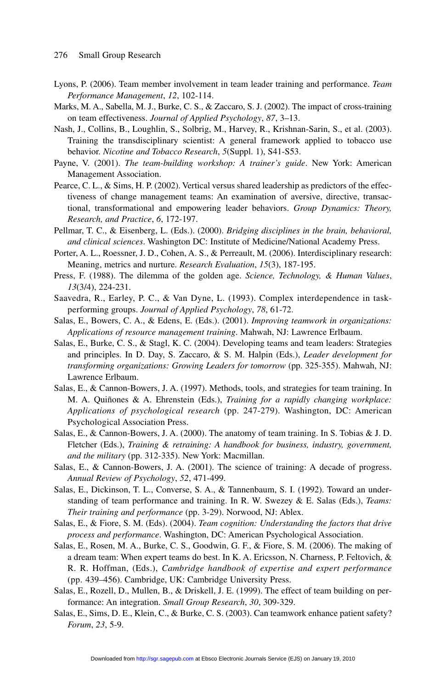- Lyons, P. (2006). Team member involvement in team leader training and performance. *Team Performance Management*, *12*, 102-114.
- Marks, M. A., Sabella, M. J., Burke, C. S., & Zaccaro, S. J. (2002). The impact of cross-training on team effectiveness. *Journal of Applied Psychology*, *87*, 3–13.
- Nash, J., Collins, B., Loughlin, S., Solbrig, M., Harvey, R., Krishnan-Sarin, S., et al. (2003). Training the transdisciplinary scientist: A general framework applied to tobacco use behavior. *Nicotine and Tobacco Research*, *5*(Suppl. 1), S41-S53.
- Payne, V. (2001). *The team-building workshop: A trainer's guide*. New York: American Management Association.
- Pearce, C. L., & Sims, H. P. (2002). Vertical versus shared leadership as predictors of the effectiveness of change management teams: An examination of aversive, directive, transactional, transformational and empowering leader behaviors. *Group Dynamics: Theory, Research, and Practice*, *6*, 172-197.
- Pellmar, T. C., & Eisenberg, L. (Eds.). (2000). *Bridging disciplines in the brain, behavioral, and clinical sciences*. Washington DC: Institute of Medicine/National Academy Press.
- Porter, A. L., Roessner, J. D., Cohen, A. S., & Perreault, M. (2006). Interdisciplinary research: Meaning, metrics and nurture. *Research Evaluation*, *15*(3), 187-195.
- Press, F. (1988). The dilemma of the golden age. *Science, Technology, & Human Values*, *13*(3/4), 224-231.
- Saavedra, R., Earley, P. C., & Van Dyne, L. (1993). Complex interdependence in taskperforming groups. *Journal of Applied Psychology*, *78*, 61-72.
- Salas, E., Bowers, C. A., & Edens, E. (Eds.). (2001). *Improving teamwork in organizations: Applications of resource management training*. Mahwah, NJ: Lawrence Erlbaum.
- Salas, E., Burke, C. S., & Stagl, K. C. (2004). Developing teams and team leaders: Strategies and principles. In D. Day, S. Zaccaro, & S. M. Halpin (Eds.), *Leader development for transforming organizations: Growing Leaders for tomorrow* (pp. 325-355). Mahwah, NJ: Lawrence Erlbaum.
- Salas, E., & Cannon-Bowers, J. A. (1997). Methods, tools, and strategies for team training. In M. A. Quiñones & A. Ehrenstein (Eds.), *Training for a rapidly changing workplace: Applications of psychological research* (pp. 247-279). Washington, DC: American Psychological Association Press.
- Salas, E., & Cannon-Bowers, J. A. (2000). The anatomy of team training. In S. Tobias & J. D. Fletcher (Eds.), *Training & retraining: A handbook for business, industry, government, and the military* (pp. 312-335). New York: Macmillan.
- Salas, E., & Cannon-Bowers, J. A. (2001). The science of training: A decade of progress. *Annual Review of Psychology*, *52*, 471-499.
- Salas, E., Dickinson, T. L., Converse, S. A., & Tannenbaum, S. I. (1992). Toward an understanding of team performance and training. In R. W. Swezey & E. Salas (Eds.), *Teams: Their training and performance* (pp. 3-29). Norwood, NJ: Ablex.
- Salas, E., & Fiore, S. M. (Eds). (2004). *Team cognition: Understanding the factors that drive process and performance*. Washington, DC: American Psychological Association.
- Salas, E., Rosen, M. A., Burke, C. S., Goodwin, G. F., & Fiore, S. M. (2006). The making of a dream team: When expert teams do best. In K. A. Ericsson, N. Charness, P. Feltovich, & R. R. Hoffman, (Eds.), *Cambridge handbook of expertise and expert performance* (pp. 439–456). Cambridge, UK: Cambridge University Press.
- Salas, E., Rozell, D., Mullen, B., & Driskell, J. E. (1999). The effect of team building on performance: An integration. *Small Group Research*, *30*, 309-329.
- Salas, E., Sims, D. E., Klein, C., & Burke, C. S. (2003). Can teamwork enhance patient safety? *Forum*, *23*, 5-9.